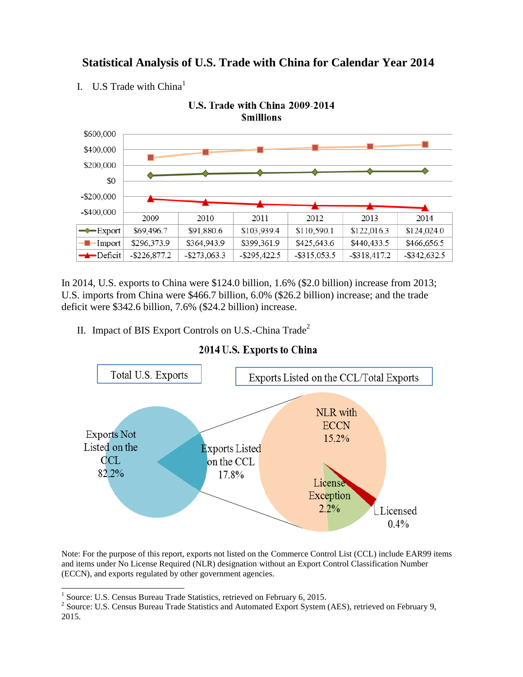

# **Statistical Analysis of U.S. Trade with China for Calendar Year 2014**

I. U.S Trade with  $China<sup>1</sup>$ 

In 2014, U.S. exports to China were \$124.0 billion, 1.6% (\$2.0 billion) increase from 2013; U.S. imports from China were \$466.7 billion, 6.0% (\$26.2 billion) increase; and the trade deficit were \$342.6 billion, 7.6% (\$24.2 billion) increase.

II. Impact of BIS Export Controls on U.S.-China  $\text{Trade}^2$ 



### 2014 U.S. Exports to China

Note: For the purpose of this report, exports not listed on the Commerce Control List (CCL) include EAR99 items and items under No License Required (NLR) designation without an Export Control Classification Number (ECCN), and exports regulated by other government agencies.

 $\overline{\phantom{a}}$ 

<sup>&</sup>lt;sup>1</sup> Source: U.S. Census Bureau Trade Statistics, retrieved on February 6, 2015.

<sup>&</sup>lt;sup>2</sup> Source: U.S. Census Bureau Trade Statistics and Automated Export System (AES), retrieved on February 9, 2015.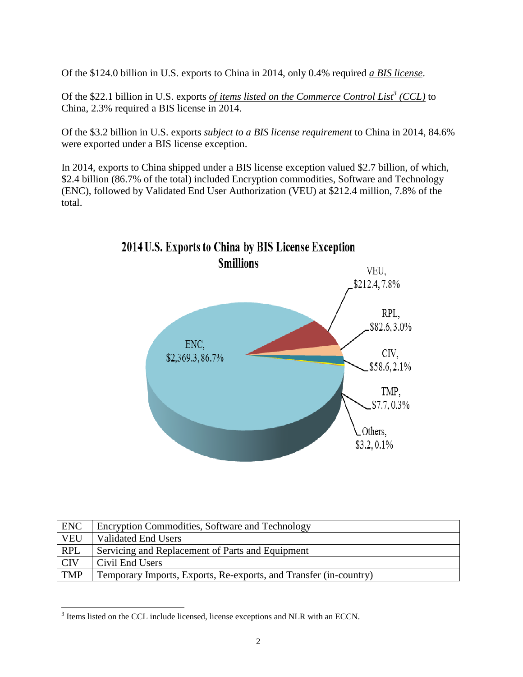Of the \$124.0 billion in U.S. exports to China in 2014, only 0.4% required *a BIS license*.

Of the \$22.1 billion in U.S. exports *of items listed on the Commerce Control List<sup>3</sup> (CCL)* to China, 2.3% required a BIS license in 2014.

Of the \$3.2 billion in U.S. exports *subject to a BIS license requirement* to China in 2014, 84.6% were exported under a BIS license exception.

In 2014, exports to China shipped under a BIS license exception valued \$2.7 billion, of which, \$2.4 billion (86.7% of the total) included Encryption commodities, Software and Technology (ENC), followed by Validated End User Authorization (VEU) at \$212.4 million, 7.8% of the total.



| <b>ENC</b> | Encryption Commodities, Software and Technology                   |
|------------|-------------------------------------------------------------------|
| <b>VEU</b> | <b>Validated End Users</b>                                        |
| <b>RPL</b> | Servicing and Replacement of Parts and Equipment                  |
| <b>CIV</b> | Civil End Users                                                   |
| <b>TMP</b> | Temporary Imports, Exports, Re-exports, and Transfer (in-country) |

<sup>&</sup>lt;sup>3</sup> Items listed on the CCL include licensed, license exceptions and NLR with an ECCN.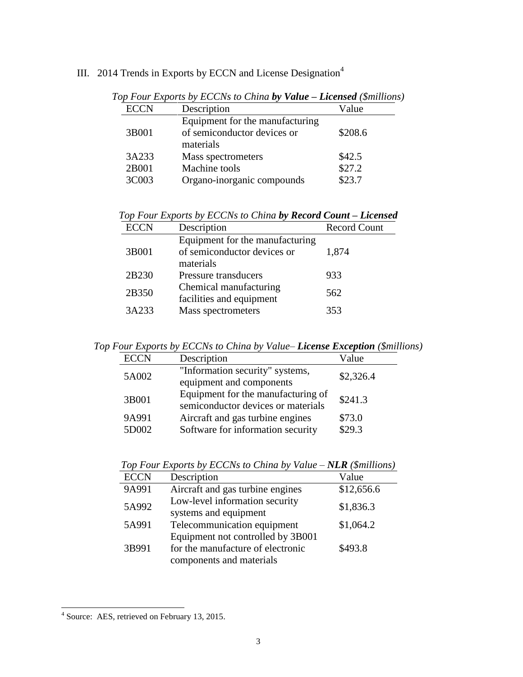## III. 2014 Trends in Exports by ECCN and License Designation<sup>4</sup>

| <b>ECCN</b> | Description                     | Value   |
|-------------|---------------------------------|---------|
|             | Equipment for the manufacturing |         |
| 3B001       | of semiconductor devices or     | \$208.6 |
|             | materials                       |         |
| 3A233       | Mass spectrometers              | \$42.5  |
| 2B001       | Machine tools                   | \$27.2  |
| 3C003       | Organo-inorganic compounds      | \$23.7  |
|             |                                 |         |

*Top Four Exports by ECCNs to China by Value – Licensed (\$millions)*

*Top Four Exports by ECCNs to China by Record Count – Licensed*

| <b>ECCN</b> | Description                     | <b>Record Count</b> |  |
|-------------|---------------------------------|---------------------|--|
|             | Equipment for the manufacturing |                     |  |
| 3B001       | of semiconductor devices or     | 1,874               |  |
|             | materials                       |                     |  |
| 2B230       | Pressure transducers            | 933                 |  |
| 2B350       | Chemical manufacturing          | 562                 |  |
|             | facilities and equipment        |                     |  |
| 3A233       | Mass spectrometers              | 353                 |  |
|             |                                 |                     |  |

*Top Four Exports by ECCNs to China by Value– License Exception (\$millions)*

| <b>ECCN</b>    | Description                                                              | Value            |
|----------------|--------------------------------------------------------------------------|------------------|
| 5A002          | "Information security" systems,<br>equipment and components              | \$2,326.4        |
| 3B001          | Equipment for the manufacturing of<br>semiconductor devices or materials | \$241.3          |
| 9A991<br>5D002 | Aircraft and gas turbine engines<br>Software for information security    | \$73.0<br>\$29.3 |

|             | TOP TOME EXPORTS BY LOCAS TO CHINA BY VANIE TYLEN (PHINNONS) |            |
|-------------|--------------------------------------------------------------|------------|
| <b>ECCN</b> | Description                                                  | Value      |
| 9A991       | Aircraft and gas turbine engines                             | \$12,656.6 |
| 5A992       | Low-level information security<br>systems and equipment      | \$1,836.3  |
| 5A991       | Telecommunication equipment                                  | \$1,064.2  |
|             | Equipment not controlled by 3B001                            |            |
| 3B991       | for the manufacture of electronic                            | \$493.8    |

components and materials

*Top Four Exports by ECCNs to China by Value – NLR (\$millions)*

 4 Source: AES, retrieved on February 13, 2015.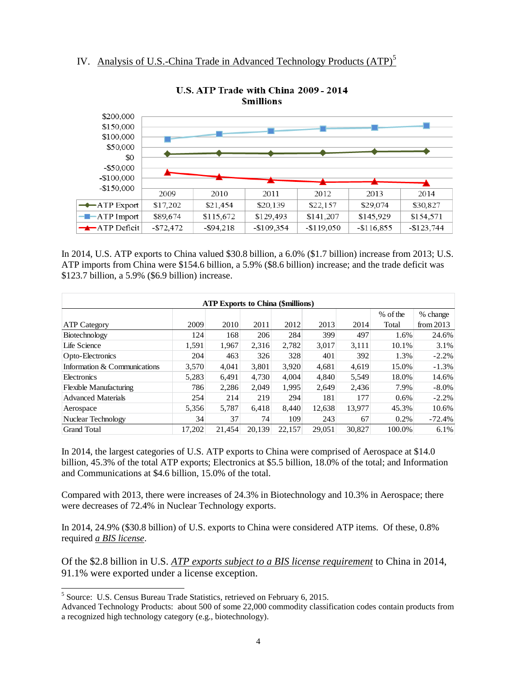

#### U.S. ATP Trade with China 2009 - 2014 **Smillions**

In 2014, U.S. ATP exports to China valued \$30.8 billion, a 6.0% (\$1.7 billion) increase from 2013; U.S. ATP imports from China were \$154.6 billion, a 5.9% (\$8.6 billion) increase; and the trade deficit was \$123.7 billion, a 5.9% (\$6.9 billion) increase.

| <b>ATP Exports to China (\$millions)</b> |        |        |        |        |        |        |          |             |
|------------------------------------------|--------|--------|--------|--------|--------|--------|----------|-------------|
|                                          |        |        |        |        |        |        | % of the | % change    |
| <b>ATP Category</b>                      | 2009   | 2010   | 2011   | 2012   | 2013   | 2014   | Total    | from $2013$ |
| Biotechnology                            | 124    | 168    | 206    | 284    | 399    | 497    | 1.6%     | 24.6%       |
| Life Science                             | 1,591  | 1,967  | 2,316  | 2,782  | 3,017  | 3,111  | 10.1%    | 3.1%        |
| Opto-Electronics                         | 204    | 463    | 326    | 328    | 401    | 392    | 1.3%     | $-2.2%$     |
| Information & Communications             | 3,570  | 4.041  | 3.801  | 3.920  | 4.681  | 4.619  | 15.0%    | $-1.3%$     |
| Electronics                              | 5,283  | 6,491  | 4,730  | 4.004  | 4.840  | 5,549  | 18.0%    | 14.6%       |
| <b>Flexible Manufacturing</b>            | 786    | 2,286  | 2.049  | 1,995  | 2,649  | 2,436  | 7.9%     | $-8.0\%$    |
| <b>Advanced Materials</b>                | 254    | 214    | 219    | 294    | 181    | 177    | 0.6%     | $-2.2%$     |
| Aerospace                                | 5,356  | 5,787  | 6.418  | 8.440  | 12,638 | 13.977 | 45.3%    | 10.6%       |
| Nuclear Technology                       | 34     | 37     | 74     | 109    | 243    | 67     | 0.2%     | $-72.4%$    |
| <b>Grand Total</b>                       | 17,202 | 21.454 | 20,139 | 22,157 | 29,051 | 30.827 | 100.0%   | 6.1%        |

In 2014, the largest categories of U.S. ATP exports to China were comprised of Aerospace at \$14.0 billion, 45.3% of the total ATP exports; Electronics at \$5.5 billion, 18.0% of the total; and Information and Communications at \$4.6 billion, 15.0% of the total.

Compared with 2013, there were increases of 24.3% in Biotechnology and 10.3% in Aerospace; there were decreases of 72.4% in Nuclear Technology exports.

In 2014, 24.9% (\$30.8 billion) of U.S. exports to China were considered ATP items. Of these, 0.8% required *a BIS license*.

Of the \$2.8 billion in U.S. *ATP exports subject to a BIS license requirement* to China in 2014, 91.1% were exported under a license exception.

 $\overline{\phantom{a}}$ 

<sup>&</sup>lt;sup>5</sup> Source: U.S. Census Bureau Trade Statistics, retrieved on February 6, 2015.

Advanced Technology Products: about 500 of some 22,000 commodity classification codes contain products from a recognized high technology category (e.g., biotechnology).